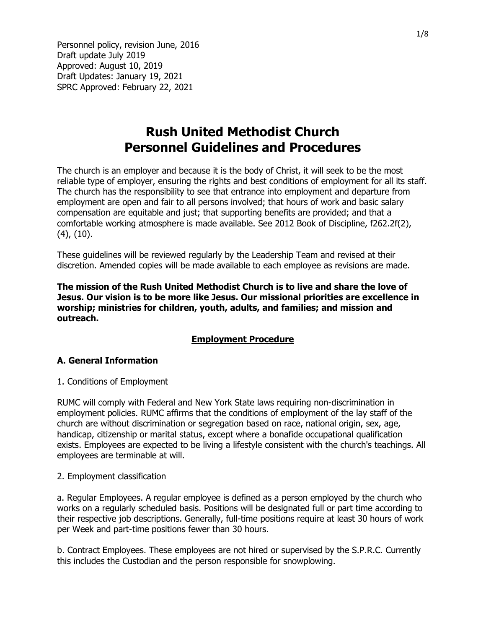# Rush United Methodist Church Personnel Guidelines and Procedures

The church is an employer and because it is the body of Christ, it will seek to be the most reliable type of employer, ensuring the rights and best conditions of employment for all its staff. The church has the responsibility to see that entrance into employment and departure from employment are open and fair to all persons involved; that hours of work and basic salary compensation are equitable and just; that supporting benefits are provided; and that a comfortable working atmosphere is made available. See 2012 Book of Discipline, f262.2f(2), (4), (10).

These guidelines will be reviewed regularly by the Leadership Team and revised at their discretion. Amended copies will be made available to each employee as revisions are made.

The mission of the Rush United Methodist Church is to live and share the love of Jesus. Our vision is to be more like Jesus. Our missional priorities are excellence in worship; ministries for children, youth, adults, and families; and mission and outreach.

#### Employment Procedure

#### A. General Information

1. Conditions of Employment

RUMC will comply with Federal and New York State laws requiring non-discrimination in employment policies. RUMC affirms that the conditions of employment of the lay staff of the church are without discrimination or segregation based on race, national origin, sex, age, handicap, citizenship or marital status, except where a bonafide occupational qualification exists. Employees are expected to be living a lifestyle consistent with the church's teachings. All employees are terminable at will.

#### 2. Employment classification

a. Regular Employees. A regular employee is defined as a person employed by the church who works on a regularly scheduled basis. Positions will be designated full or part time according to their respective job descriptions. Generally, full-time positions require at least 30 hours of work per Week and part-time positions fewer than 30 hours.

b. Contract Employees. These employees are not hired or supervised by the S.P.R.C. Currently this includes the Custodian and the person responsible for snowplowing.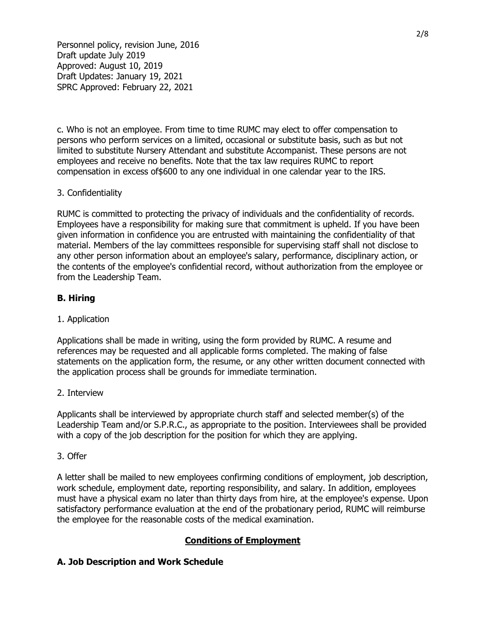c. Who is not an employee. From time to time RUMC may elect to offer compensation to persons who perform services on a limited, occasional or substitute basis, such as but not limited to substitute Nursery Attendant and substitute Accompanist. These persons are not employees and receive no benefits. Note that the tax law requires RUMC to report compensation in excess of\$600 to any one individual in one calendar year to the IRS.

#### 3. Confidentiality

RUMC is committed to protecting the privacy of individuals and the confidentiality of records. Employees have a responsibility for making sure that commitment is upheld. If you have been given information in confidence you are entrusted with maintaining the confidentiality of that material. Members of the lay committees responsible for supervising staff shall not disclose to any other person information about an employee's salary, performance, disciplinary action, or the contents of the employee's confidential record, without authorization from the employee or from the Leadership Team.

## B. Hiring

#### 1. Application

Applications shall be made in writing, using the form provided by RUMC. A resume and references may be requested and all applicable forms completed. The making of false statements on the application form, the resume, or any other written document connected with the application process shall be grounds for immediate termination.

#### 2. Interview

Applicants shall be interviewed by appropriate church staff and selected member(s) of the Leadership Team and/or S.P.R.C., as appropriate to the position. Interviewees shall be provided with a copy of the job description for the position for which they are applying.

#### 3. Offer

A letter shall be mailed to new employees confirming conditions of employment, job description, work schedule, employment date, reporting responsibility, and salary. In addition, employees must have a physical exam no later than thirty days from hire, at the employee's expense. Upon satisfactory performance evaluation at the end of the probationary period, RUMC will reimburse the employee for the reasonable costs of the medical examination.

# Conditions of Employment

#### A. Job Description and Work Schedule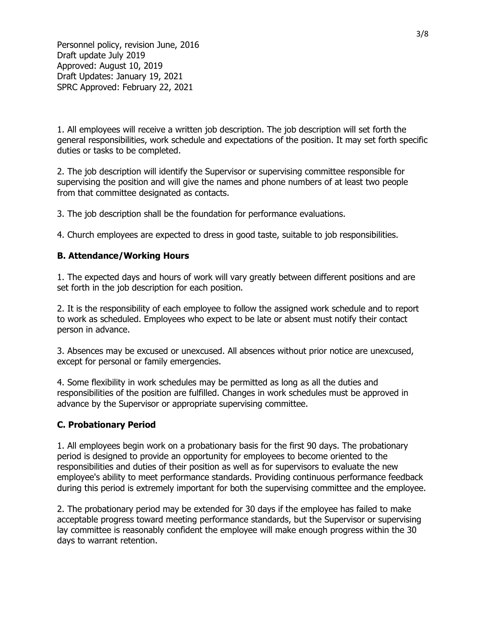1. All employees will receive a written job description. The job description will set forth the general responsibilities, work schedule and expectations of the position. It may set forth specific duties or tasks to be completed.

2. The job description will identify the Supervisor or supervising committee responsible for supervising the position and will give the names and phone numbers of at least two people from that committee designated as contacts.

3. The job description shall be the foundation for performance evaluations.

4. Church employees are expected to dress in good taste, suitable to job responsibilities.

#### B. Attendance/Working Hours

1. The expected days and hours of work will vary greatly between different positions and are set forth in the job description for each position.

2. It is the responsibility of each employee to follow the assigned work schedule and to report to work as scheduled. Employees who expect to be late or absent must notify their contact person in advance.

3. Absences may be excused or unexcused. All absences without prior notice are unexcused, except for personal or family emergencies.

4. Some flexibility in work schedules may be permitted as long as all the duties and responsibilities of the position are fulfilled. Changes in work schedules must be approved in advance by the Supervisor or appropriate supervising committee.

#### C. Probationary Period

1. All employees begin work on a probationary basis for the first 90 days. The probationary period is designed to provide an opportunity for employees to become oriented to the responsibilities and duties of their position as well as for supervisors to evaluate the new employee's ability to meet performance standards. Providing continuous performance feedback during this period is extremely important for both the supervising committee and the employee.

2. The probationary period may be extended for 30 days if the employee has failed to make acceptable progress toward meeting performance standards, but the Supervisor or supervising lay committee is reasonably confident the employee will make enough progress within the 30 days to warrant retention.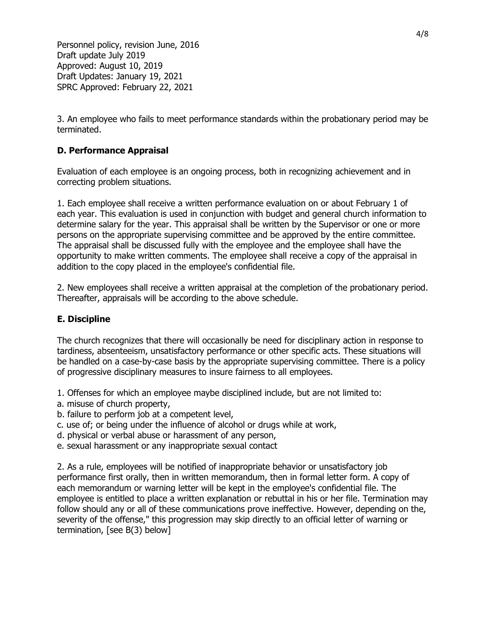3. An employee who fails to meet performance standards within the probationary period may be terminated.

# D. Performance Appraisal

Evaluation of each employee is an ongoing process, both in recognizing achievement and in correcting problem situations.

1. Each employee shall receive a written performance evaluation on or about February 1 of each year. This evaluation is used in conjunction with budget and general church information to determine salary for the year. This appraisal shall be written by the Supervisor or one or more persons on the appropriate supervising committee and be approved by the entire committee. The appraisal shall be discussed fully with the employee and the employee shall have the opportunity to make written comments. The employee shall receive a copy of the appraisal in addition to the copy placed in the employee's confidential file.

2. New employees shall receive a written appraisal at the completion of the probationary period. Thereafter, appraisals will be according to the above schedule.

# E. Discipline

The church recognizes that there will occasionally be need for disciplinary action in response to tardiness, absenteeism, unsatisfactory performance or other specific acts. These situations will be handled on a case-by-case basis by the appropriate supervising committee. There is a policy of progressive disciplinary measures to insure fairness to all employees.

- 1. Offenses for which an employee maybe disciplined include, but are not limited to:
- a. misuse of church property,
- b. failure to perform job at a competent level,
- c. use of; or being under the influence of alcohol or drugs while at work,
- d. physical or verbal abuse or harassment of any person,
- e. sexual harassment or any inappropriate sexual contact

2. As a rule, employees will be notified of inappropriate behavior or unsatisfactory job performance first orally, then in written memorandum, then in formal letter form. A copy of each memorandum or warning letter will be kept in the employee's confidential file. The employee is entitled to place a written explanation or rebuttal in his or her file. Termination may follow should any or all of these communications prove ineffective. However, depending on the, severity of the offense," this progression may skip directly to an official letter of warning or termination, [see B(3) below]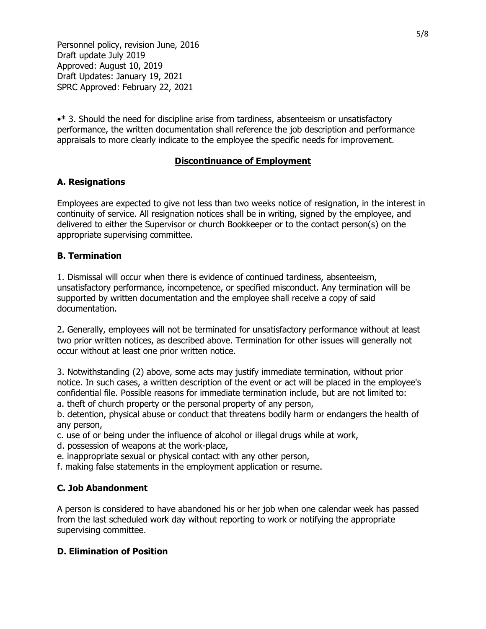•\* 3. Should the need for discipline arise from tardiness, absenteeism or unsatisfactory performance, the written documentation shall reference the job description and performance appraisals to more clearly indicate to the employee the specific needs for improvement.

## Discontinuance of Employment

## A. Resignations

Employees are expected to give not less than two weeks notice of resignation, in the interest in continuity of service. All resignation notices shall be in writing, signed by the employee, and delivered to either the Supervisor or church Bookkeeper or to the contact person(s) on the appropriate supervising committee.

## B. Termination

1. Dismissal will occur when there is evidence of continued tardiness, absenteeism, unsatisfactory performance, incompetence, or specified misconduct. Any termination will be supported by written documentation and the employee shall receive a copy of said documentation.

2. Generally, employees will not be terminated for unsatisfactory performance without at least two prior written notices, as described above. Termination for other issues will generally not occur without at least one prior written notice.

3. Notwithstanding (2) above, some acts may justify immediate termination, without prior notice. In such cases, a written description of the event or act will be placed in the employee's confidential file. Possible reasons for immediate termination include, but are not limited to: a. theft of church property or the personal property of any person,

b. detention, physical abuse or conduct that threatens bodily harm or endangers the health of any person,

c. use of or being under the influence of alcohol or illegal drugs while at work,

- d. possession of weapons at the work-place,
- e. inappropriate sexual or physical contact with any other person,
- f. making false statements in the employment application or resume.

#### C. Job Abandonment

A person is considered to have abandoned his or her job when one calendar week has passed from the last scheduled work day without reporting to work or notifying the appropriate supervising committee.

#### D. Elimination of Position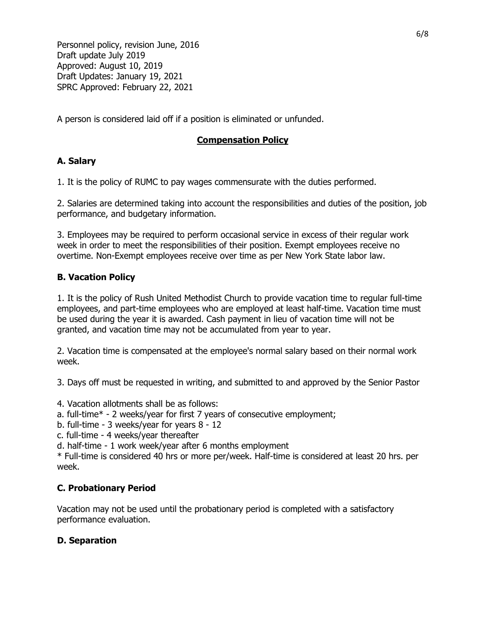A person is considered laid off if a position is eliminated or unfunded.

# Compensation Policy

# A. Salary

1. It is the policy of RUMC to pay wages commensurate with the duties performed.

2. Salaries are determined taking into account the responsibilities and duties of the position, job performance, and budgetary information.

3. Employees may be required to perform occasional service in excess of their regular work week in order to meet the responsibilities of their position. Exempt employees receive no overtime. Non-Exempt employees receive over time as per New York State labor law.

# B. Vacation Policy

1. It is the policy of Rush United Methodist Church to provide vacation time to regular full-time employees, and part-time employees who are employed at least half-time. Vacation time must be used during the year it is awarded. Cash payment in lieu of vacation time will not be granted, and vacation time may not be accumulated from year to year.

2. Vacation time is compensated at the employee's normal salary based on their normal work week.

3. Days off must be requested in writing, and submitted to and approved by the Senior Pastor

- 4. Vacation allotments shall be as follows:
- a. full-time\* 2 weeks/year for first 7 years of consecutive employment;
- b. full-time 3 weeks/year for years 8 12
- c. full-time 4 weeks/year thereafter
- d. half-time 1 work week/year after 6 months employment

\* Full-time is considered 40 hrs or more per/week. Half-time is considered at least 20 hrs. per week.

# C. Probationary Period

Vacation may not be used until the probationary period is completed with a satisfactory performance evaluation.

# D. Separation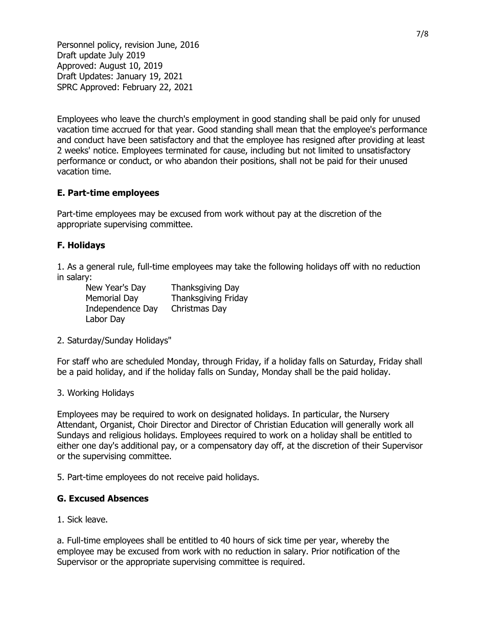Employees who leave the church's employment in good standing shall be paid only for unused vacation time accrued for that year. Good standing shall mean that the employee's performance and conduct have been satisfactory and that the employee has resigned after providing at least 2 weeks' notice. Employees terminated for cause, including but not limited to unsatisfactory performance or conduct, or who abandon their positions, shall not be paid for their unused vacation time.

## E. Part-time employees

Part-time employees may be excused from work without pay at the discretion of the appropriate supervising committee.

## F. Holidays

1. As a general rule, full-time employees may take the following holidays off with no reduction in salary:

New Year's Day Thanksgiving Day Memorial Day Thanksgiving Friday Independence Day Christmas Day Labor Day

2. Saturday/Sunday Holidays"

For staff who are scheduled Monday, through Friday, if a holiday falls on Saturday, Friday shall be a paid holiday, and if the holiday falls on Sunday, Monday shall be the paid holiday.

#### 3. Working Holidays

Employees may be required to work on designated holidays. In particular, the Nursery Attendant, Organist, Choir Director and Director of Christian Education will generally work all Sundays and religious holidays. Employees required to work on a holiday shall be entitled to either one day's additional pay, or a compensatory day off, at the discretion of their Supervisor or the supervising committee.

5. Part-time employees do not receive paid holidays.

#### G. Excused Absences

1. Sick leave.

a. Full-time employees shall be entitled to 40 hours of sick time per year, whereby the employee may be excused from work with no reduction in salary. Prior notification of the Supervisor or the appropriate supervising committee is required.